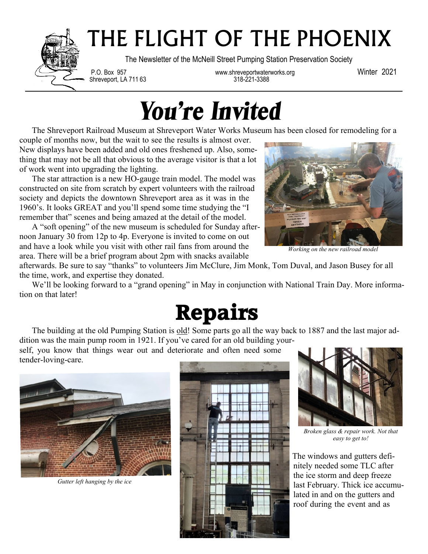

## THE FLIGHT OF THE PHOENIX

The Newsletter of the McNeill Street Pumping Station Preservation Society

Shreveport, LA 711 63

P.O. Box 957 www.shreveportwaterworks.org Winter 2021

## *You're Invited*

The Shreveport Railroad Museum at Shreveport Water Works Museum has been closed for remodeling for a

couple of months now, but the wait to see the results is almost over. New displays have been added and old ones freshened up. Also, something that may not be all that obvious to the average visitor is that a lot of work went into upgrading the lighting.

 The star attraction is a new HO-gauge train model. The model was constructed on site from scratch by expert volunteers with the railroad society and depicts the downtown Shreveport area as it was in the 1960's. It looks GREAT and you'll spend some time studying the "I remember that" scenes and being amazed at the detail of the model.

 A "soft opening" of the new museum is scheduled for Sunday afternoon January 30 from 12p to 4p. Everyone is invited to come on out and have a look while you visit with other rail fans from around the area. There will be a brief program about 2pm with snacks available



*Working on the new railroad model*

afterwards. Be sure to say "thanks" to volunteers Jim McClure, Jim Monk, Tom Duval, and Jason Busey for all the time, work, and expertise they donated.

 We'll be looking forward to a "grand opening" in May in conjunction with National Train Day. More information on that later!



The building at the old Pumping Station is old! Some parts go all the way back to 1887 and the last major addition was the main pump room in 1921. If you've cared for an old building your-

self, you know that things wear out and deteriorate and often need some tender-loving-care.



*Gutter left hanging by the ice*





*Broken glass & repair work. Not that easy to get to!*

The windows and gutters definitely needed some TLC after the ice storm and deep freeze last February. Thick ice accumulated in and on the gutters and roof during the event and as